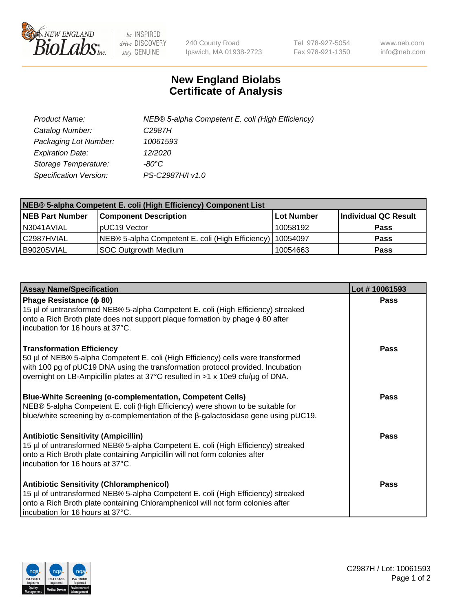

 $be$  INSPIRED drive DISCOVERY stay GENUINE

240 County Road Ipswich, MA 01938-2723 Tel 978-927-5054 Fax 978-921-1350 www.neb.com info@neb.com

## **New England Biolabs Certificate of Analysis**

| Product Name:           | NEB® 5-alpha Competent E. coli (High Efficiency) |
|-------------------------|--------------------------------------------------|
| Catalog Number:         | C <sub>2987</sub> H                              |
| Packaging Lot Number:   | 10061593                                         |
| <b>Expiration Date:</b> | 12/2020                                          |
| Storage Temperature:    | -80°C                                            |
| Specification Version:  | PS-C2987H/I v1.0                                 |

| NEB® 5-alpha Competent E. coli (High Efficiency) Component List |                                                  |                   |                      |  |
|-----------------------------------------------------------------|--------------------------------------------------|-------------------|----------------------|--|
| <b>NEB Part Number</b>                                          | <b>Component Description</b>                     | <b>Lot Number</b> | Individual QC Result |  |
| N3041AVIAL                                                      | pUC19 Vector                                     | 10058192          | <b>Pass</b>          |  |
| C2987HVIAL                                                      | NEB® 5-alpha Competent E. coli (High Efficiency) | l 10054097        | <b>Pass</b>          |  |
| B9020SVIAL                                                      | <b>SOC Outgrowth Medium</b>                      | 10054663          | <b>Pass</b>          |  |

| <b>Assay Name/Specification</b>                                                                                                                                                                                                                                                           | Lot #10061593 |
|-------------------------------------------------------------------------------------------------------------------------------------------------------------------------------------------------------------------------------------------------------------------------------------------|---------------|
| Phage Resistance ( $\phi$ 80)<br>15 µl of untransformed NEB® 5-alpha Competent E. coli (High Efficiency) streaked<br>onto a Rich Broth plate does not support plaque formation by phage φ 80 after<br>incubation for 16 hours at 37°C.                                                    | <b>Pass</b>   |
| <b>Transformation Efficiency</b><br>50 µl of NEB® 5-alpha Competent E. coli (High Efficiency) cells were transformed<br>with 100 pg of pUC19 DNA using the transformation protocol provided. Incubation<br>overnight on LB-Ampicillin plates at 37°C resulted in >1 x 10e9 cfu/μg of DNA. | Pass          |
| <b>Blue-White Screening (α-complementation, Competent Cells)</b><br>NEB® 5-alpha Competent E. coli (High Efficiency) were shown to be suitable for<br>blue/white screening by $\alpha$ -complementation of the $\beta$ -galactosidase gene using pUC19.                                   | Pass          |
| <b>Antibiotic Sensitivity (Ampicillin)</b><br>15 µl of untransformed NEB® 5-alpha Competent E. coli (High Efficiency) streaked<br>onto a Rich Broth plate containing Ampicillin will not form colonies after<br>incubation for 16 hours at 37°C.                                          | Pass          |
| <b>Antibiotic Sensitivity (Chloramphenicol)</b><br>15 µl of untransformed NEB® 5-alpha Competent E. coli (High Efficiency) streaked<br>onto a Rich Broth plate containing Chloramphenicol will not form colonies after<br>incubation for 16 hours at 37°C.                                | Pass          |